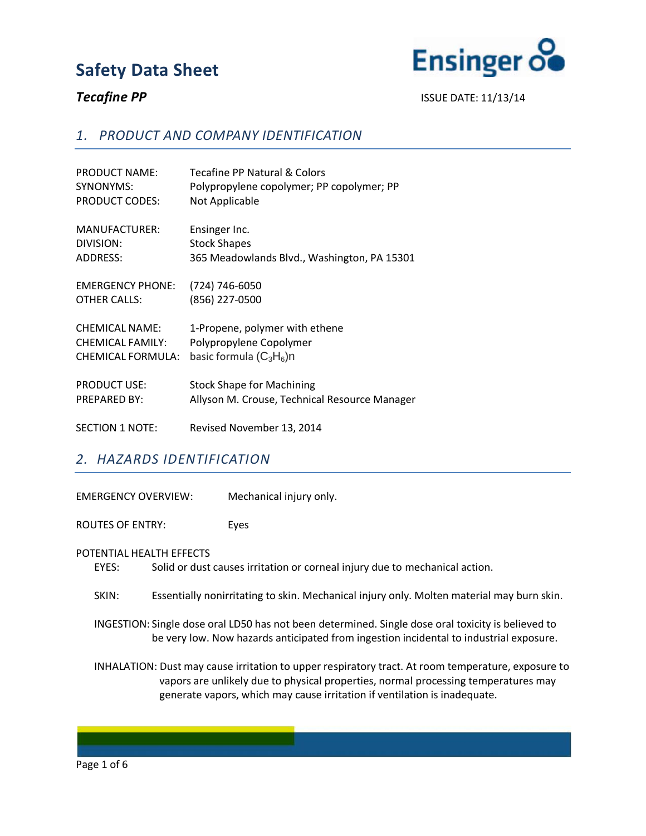

**Tecafine PP** ISSUE DATE: 11/13/14

## *1. PRODUCT AND COMPANY IDENTIFICATION*

| <b>PRODUCT NAME:</b>    | Tecafine PP Natural & Colors                  |
|-------------------------|-----------------------------------------------|
| SYNONYMS:               | Polypropylene copolymer; PP copolymer; PP     |
| <b>PRODUCT CODES:</b>   | Not Applicable                                |
| MANUFACTURER:           | Ensinger Inc.                                 |
| DIVISION:               | <b>Stock Shapes</b>                           |
| <b>ADDRESS:</b>         | 365 Meadowlands Blvd., Washington, PA 15301   |
| <b>EMERGENCY PHONE:</b> | (724) 746-6050                                |
| <b>OTHER CALLS:</b>     | (856) 227-0500                                |
| <b>CHEMICAL NAME:</b>   | 1-Propene, polymer with ethene                |
| <b>CHEMICAL FAMILY:</b> | Polypropylene Copolymer                       |
| CHEMICAL FORMULA:       | basic formula $(C_3H_6)$ n                    |
| <b>PRODUCT USE:</b>     | <b>Stock Shape for Machining</b>              |
| <b>PREPARED BY:</b>     | Allyson M. Crouse, Technical Resource Manager |
| <b>SECTION 1 NOTE:</b>  | Revised November 13, 2014                     |

## *2. HAZARDS IDENTIFICATION*

EMERGENCY OVERVIEW: Mechanical injury only. ROUTES OF ENTRY: Eyes POTENTIAL HEALTH EFFECTS EYES: Solid or dust causes irritation or corneal injury due to mechanical action. SKIN: Essentially nonirritating to skin. Mechanical injury only. Molten material may burn skin. INGESTION: Single dose oral LD50 has not been determined. Single dose oral toxicity is believed to be very low. Now hazards anticipated from ingestion incidental to industrial exposure. INHALATION: Dust may cause irritation to upper respiratory tract. At room temperature, exposure to vapors are unlikely due to physical properties, normal processing temperatures may generate vapors, which may cause irritation if ventilation is inadequate.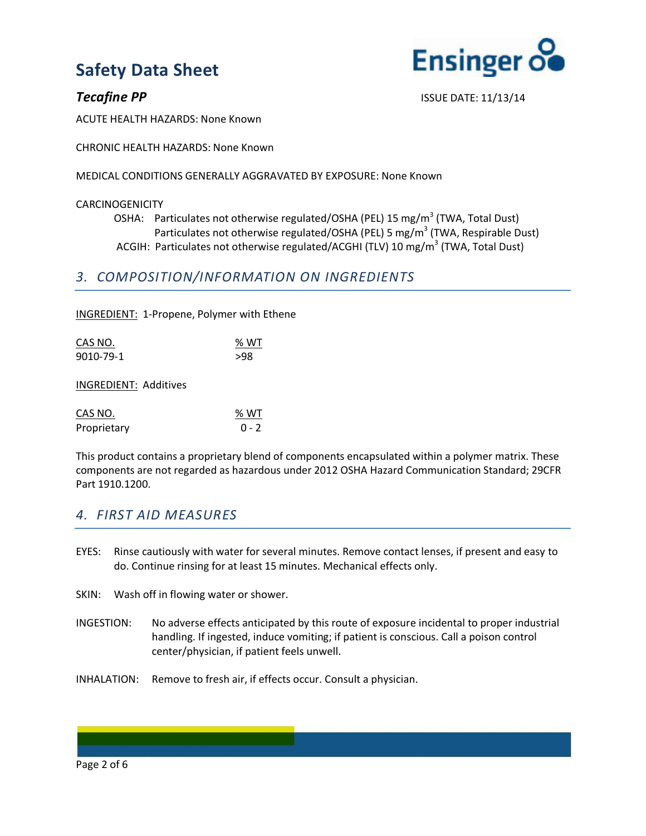

**Tecafine PP** ISSUE DATE: 11/13/14

ACUTE HEALTH HAZARDS: None Known

CHRONIC HEALTH HAZARDS: None Known

MEDICAL CONDITIONS GENERALLY AGGRAVATED BY EXPOSURE: None Known

### CARCINOGENICITY

OSHA: Particulates not otherwise regulated/OSHA (PEL) 15 mg/m<sup>3</sup> (TWA, Total Dust) Particulates not otherwise regulated/OSHA (PEL) 5 mg/m<sup>3</sup> (TWA, Respirable Dust) ACGIH: Particulates not otherwise regulated/ACGHI (TLV) 10 mg/m<sup>3</sup> (TWA, Total Dust)

## *3. COMPOSITION/INFORMATION ON INGREDIENTS*

INGREDIENT: 1-Propene, Polymer with Ethene

| CAS NO.   | % WT |
|-----------|------|
| 9010-79-1 | >98  |
|           |      |

INGREDIENT: Additives

| CAS NO.     | % WT    |
|-------------|---------|
| Proprietary | $0 - 2$ |

This product contains a proprietary blend of components encapsulated within a polymer matrix. These components are not regarded as hazardous under 2012 OSHA Hazard Communication Standard; 29CFR Part 1910.1200.

## *4. FIRST AID MEASURES*

- EYES: Rinse cautiously with water for several minutes. Remove contact lenses, if present and easy to do. Continue rinsing for at least 15 minutes. Mechanical effects only.
- SKIN: Wash off in flowing water or shower.
- INGESTION: No adverse effects anticipated by this route of exposure incidental to proper industrial handling. If ingested, induce vomiting; if patient is conscious. Call a poison control center/physician, if patient feels unwell.
- INHALATION: Remove to fresh air, if effects occur. Consult a physician.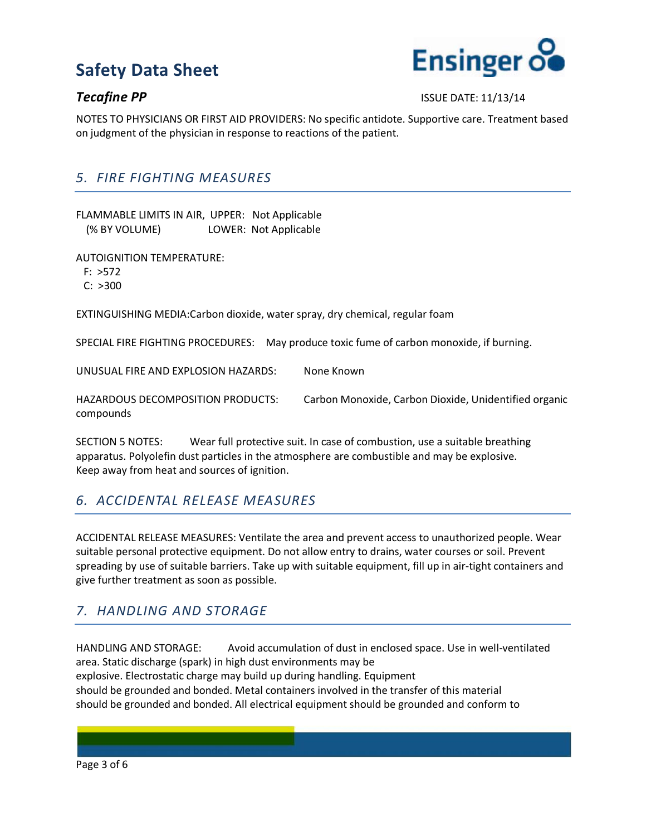

### **Tecafine PP** ISSUE DATE: 11/13/14

NOTES TO PHYSICIANS OR FIRST AID PROVIDERS: No specific antidote. Supportive care. Treatment based on judgment of the physician in response to reactions of the patient.

## *5. FIRE FIGHTING MEASURES*

FLAMMABLE LIMITS IN AIR, UPPER: Not Applicable (% BY VOLUME) LOWER: Not Applicable

AUTOIGNITION TEMPERATURE:

F: >572

C: >300

EXTINGUISHING MEDIA:Carbon dioxide, water spray, dry chemical, regular foam

SPECIAL FIRE FIGHTING PROCEDURES: May produce toxic fume of carbon monoxide, if burning.

UNUSUAL FIRE AND EXPLOSION HAZARDS: None Known

HAZARDOUS DECOMPOSITION PRODUCTS: Carbon Monoxide, Carbon Dioxide, Unidentified organic compounds

SECTION 5 NOTES: Wear full protective suit. In case of combustion, use a suitable breathing apparatus. Polyolefin dust particles in the atmosphere are combustible and may be explosive. Keep away from heat and sources of ignition.

## *6. ACCIDENTAL RELEASE MEASURES*

ACCIDENTAL RELEASE MEASURES: Ventilate the area and prevent access to unauthorized people. Wear suitable personal protective equipment. Do not allow entry to drains, water courses or soil. Prevent spreading by use of suitable barriers. Take up with suitable equipment, fill up in air-tight containers and give further treatment as soon as possible.

## *7. HANDLING AND STORAGE*

HANDLING AND STORAGE: Avoid accumulation of dust in enclosed space. Use in well-ventilated area. Static discharge (spark) in high dust environments may be explosive. Electrostatic charge may build up during handling. Equipment should be grounded and bonded. Metal containers involved in the transfer of this material should be grounded and bonded. All electrical equipment should be grounded and conform to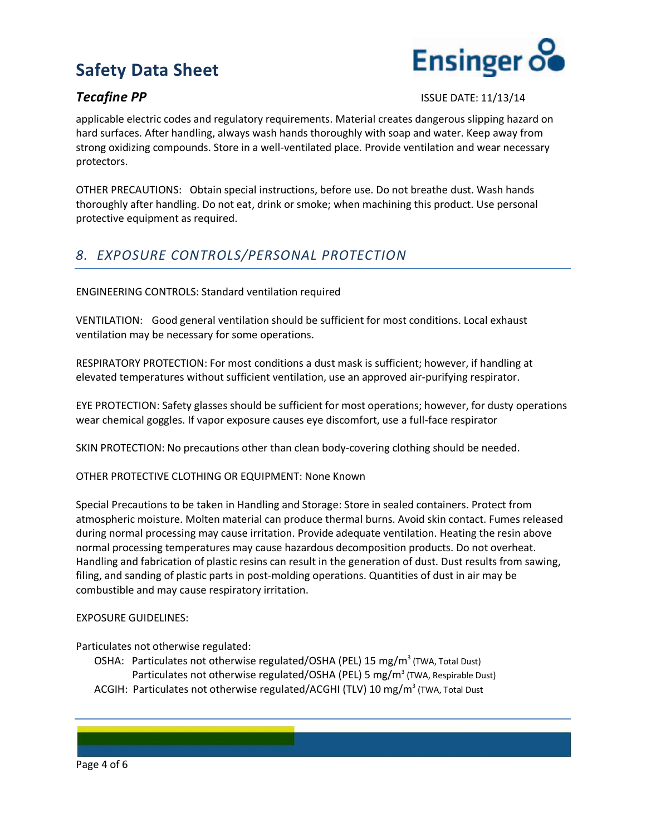



**Tecafine PP** ISSUE DATE: 11/13/14

applicable electric codes and regulatory requirements. Material creates dangerous slipping hazard on hard surfaces. After handling, always wash hands thoroughly with soap and water. Keep away from strong oxidizing compounds. Store in a well-ventilated place. Provide ventilation and wear necessary protectors.

OTHER PRECAUTIONS: Obtain special instructions, before use. Do not breathe dust. Wash hands thoroughly after handling. Do not eat, drink or smoke; when machining this product. Use personal protective equipment as required.

## *8. EXPOSURE CONTROLS/PERSONAL PROTECTION*

ENGINEERING CONTROLS: Standard ventilation required

VENTILATION: Good general ventilation should be sufficient for most conditions. Local exhaust ventilation may be necessary for some operations.

RESPIRATORY PROTECTION: For most conditions a dust mask is sufficient; however, if handling at elevated temperatures without sufficient ventilation, use an approved air-purifying respirator.

EYE PROTECTION: Safety glasses should be sufficient for most operations; however, for dusty operations wear chemical goggles. If vapor exposure causes eye discomfort, use a full-face respirator

SKIN PROTECTION: No precautions other than clean body-covering clothing should be needed.

OTHER PROTECTIVE CLOTHING OR EQUIPMENT: None Known

Special Precautions to be taken in Handling and Storage: Store in sealed containers. Protect from atmospheric moisture. Molten material can produce thermal burns. Avoid skin contact. Fumes released during normal processing may cause irritation. Provide adequate ventilation. Heating the resin above normal processing temperatures may cause hazardous decomposition products. Do not overheat. Handling and fabrication of plastic resins can result in the generation of dust. Dust results from sawing, filing, and sanding of plastic parts in post-molding operations. Quantities of dust in air may be combustible and may cause respiratory irritation.

### EXPOSURE GUIDELINES:

Particulates not otherwise regulated:

OSHA: Particulates not otherwise regulated/OSHA (PEL) 15 mg/m<sup>3</sup> (TWA, Total Dust) Particulates not otherwise regulated/OSHA (PEL) 5 mg/m<sup>3</sup> (TWA, Respirable Dust) ACGIH: Particulates not otherwise regulated/ACGHI (TLV) 10 mg/m<sup>3</sup> (TWA, Total Dust

Page 4 of 6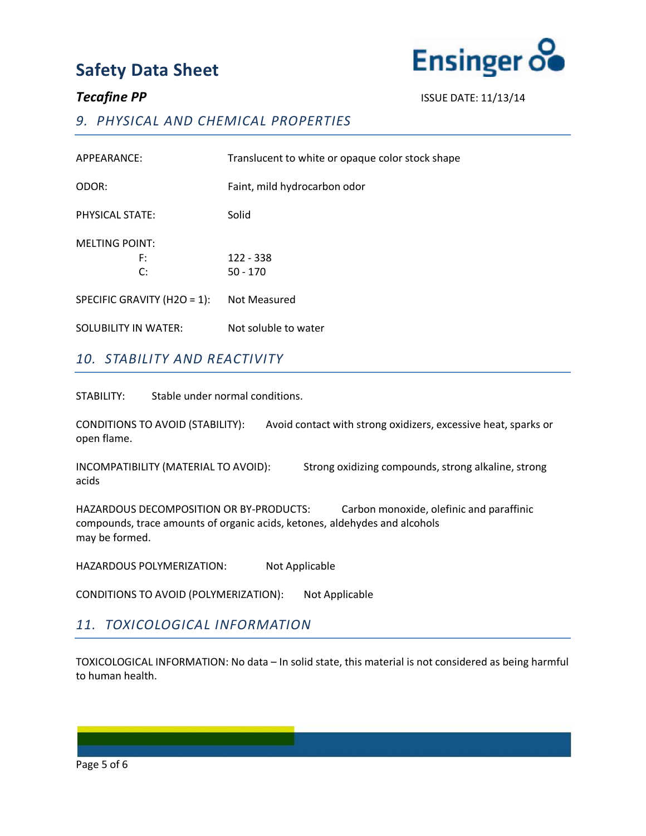

**Tecafine PP** ISSUE DATE: 11/13/14

## *9. PHYSICAL AND CHEMICAL PROPERTIES*

| APPEARANCE:                 | Translucent to white or opaque color stock shape |
|-----------------------------|--------------------------------------------------|
| ODOR:                       | Faint, mild hydrocarbon odor                     |
| PHYSICAL STATE:             | Solid                                            |
| <b>MELTING POINT:</b>       |                                                  |
| F:                          | 122 - 338                                        |
| C:                          | $50 - 170$                                       |
| SPECIFIC GRAVITY (H2O = 1): | Not Measured                                     |
| SOLUBILITY IN WATER:        | Not soluble to water                             |

## *10. STABILITY AND REACTIVITY*

STABILITY: Stable under normal conditions.

CONDITIONS TO AVOID (STABILITY): Avoid contact with strong oxidizers, excessive heat, sparks or open flame.

INCOMPATIBILITY (MATERIAL TO AVOID): Strong oxidizing compounds, strong alkaline, strong acids

HAZARDOUS DECOMPOSITION OR BY-PRODUCTS: Carbon monoxide, olefinic and paraffinic compounds, trace amounts of organic acids, ketones, aldehydes and alcohols may be formed.

HAZARDOUS POLYMERIZATION: Not Applicable

CONDITIONS TO AVOID (POLYMERIZATION): Not Applicable

## *11. TOXICOLOGICAL INFORMATION*

TOXICOLOGICAL INFORMATION: No data – In solid state, this material is not considered as being harmful to human health.